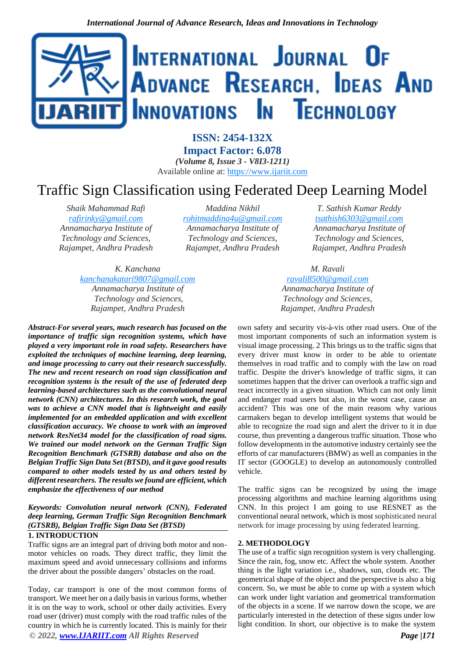

**ISSN: 2454-132X Impact Factor: 6.078** *(Volume 8, Issue 3 - V8I3-1211)* Available online at: [https://www.ijariit.com](https://www.ijariit.com/?utm_source=pdf&utm_medium=edition&utm_campaign=OmAkSols&utm_term=V8I3-1211)

# Traffic Sign Classification using Federated Deep Learning Model

*Shaik Mahammad Rafi [rafirinky@gmail.com](mailto:rafirinky@gmail.com) Annamacharya Institute of Technology and Sciences, Rajampet, Andhra Pradesh*

*Maddina Nikhil [rohitmaddina4u@gmail.com](mailto:rohitmaddina4u@gmail.com) Annamacharya Institute of Technology and Sciences, Rajampet, Andhra Pradesh*

*K. Kanchana [kanchanakatari9807@gmail.com](mailto:kanchanakatari9807@gmail.com) Annamacharya Institute of Technology and Sciences, Rajampet, Andhra Pradesh*

*Abstract-For several years, much research has focused on the importance of traffic sign recognition systems, which have played a very important role in road safety. Researchers have exploited the techniques of machine learning, deep learning, and image processing to carry out their research successfully. The new and recent research on road sign classification and recognition systems is the result of the use of federated deep learning-based architectures such as the convolutional neural network (CNN) architectures. In this research work, the goal was to achieve a CNN model that is lightweight and easily implemented for an embedded application and with excellent classification accuracy. We choose to work with an improved network ResNet34 model for the classification of road signs. We trained our model network on the German Traffic Sign Recognition Benchmark (GTSRB) database and also on the Belgian Traffic Sign Data Set (BTSD), and it gave good results compared to other models tested by us and others tested by different researchers. The results we found are efficient, which emphasize the effectiveness of our method*

## *Keywords: Convolution neural network (CNN), Federated deep learning, German Traffic Sign Recognition Benchmark (GTSRB), Belgian Traffic Sign Data Set (BTSD)*

### **1. INTRODUCTION**

Traffic signs are an integral part of driving both motor and nonmotor vehicles on roads. They direct traffic, they limit the maximum speed and avoid unnecessary collisions and informs the driver about the possible dangers' obstacles on the road.

*© 2022, [www.IJARIIT.com](file:///C:/omak/Downloads/www.IJARIIT.com) All Rights Reserved Page |171* Today, car transport is one of the most common forms of transport. We meet her on a daily basis in various forms, whether it is on the way to work, school or other daily activities. Every road user (driver) must comply with the road traffic rules of the country in which he is currently located. This is mainly for their

*T. Sathish Kumar Reddy [tsathish6303@gmail.com](mailto:tsathish6303@gmail.com) Annamacharya Institute of Technology and Sciences, Rajampet, Andhra Pradesh*

*M. Ravali [ravali8500@gmail.com](mailto:ravali8500@gmail.com) Annamacharya Institute of Technology and Sciences, Rajampet, Andhra Pradesh*

own safety and security vis-à-vis other road users. One of the most important components of such an information system is visual image processing. 2 This brings us to the traffic signs that every driver must know in order to be able to orientate themselves in road traffic and to comply with the law on road traffic. Despite the driver's knowledge of traffic signs, it can sometimes happen that the driver can overlook a traffic sign and react incorrectly in a given situation. Which can not only limit and endanger road users but also, in the worst case, cause an accident? This was one of the main reasons why various carmakers began to develop intelligent systems that would be able to recognize the road sign and alert the driver to it in due course, thus preventing a dangerous traffic situation. Those who follow developments in the automotive industry certainly see the efforts of car manufacturers (BMW) as well as companies in the IT sector (GOOGLE) to develop an autonomously controlled vehicle.

The traffic signs can be recognized by using the image processing algorithms and machine learning algorithms using CNN. In this project I am going to use RESNET as the conventional neural network, which is most sophisticated neural network for image processing by using federated learning.

#### **2. METHODOLOGY**

The use of a traffic sign recognition system is very challenging. Since the rain, fog, snow etc. Affect the whole system. Another thing is the light variation i.e., shadows, sun, clouds etc. The geometrical shape of the object and the perspective is also a big concern. So, we must be able to come up with a system which can work under light variation and geometrical transformation of the objects in a scene. If we narrow down the scope, we are particularly interested in the detection of these signs under low light condition. In short, our objective is to make the system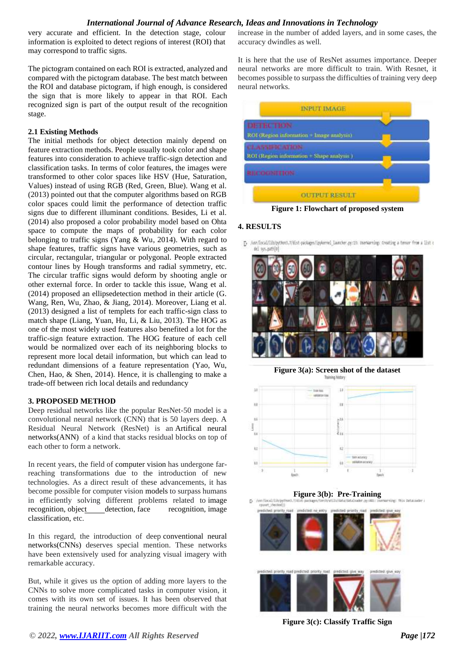## *International Journal of Advance Research, Ideas and Innovations in Technology*

very accurate and efficient. In the detection stage, colour information is exploited to detect regions of interest (ROI) that may correspond to traffic signs.

The pictogram contained on each ROI is extracted, analyzed and compared with the pictogram database. The best match between the ROI and database pictogram, if high enough, is considered the sign that is more likely to appear in that ROI. Each recognized sign is part of the output result of the recognition stage.

## **2.1 Existing Methods**

The initial methods for object detection mainly depend on feature extraction methods. People usually took color and shape features into consideration to achieve traffic-sign detection and classification tasks. In terms of color features, the images were transformed to other color spaces like HSV (Hue, Saturation, Values) instead of using RGB (Red, Green, Blue). Wang et al. (2013) pointed out that the computer algorithms based on RGB color spaces could limit the performance of detection traffic signs due to different illuminant conditions. Besides, Li et al. (2014) also proposed a color probability model based on Ohta space to compute the maps of probability for each color belonging to traffic signs (Yang & Wu, 2014). With regard to shape features, traffic signs have various geometries, such as circular, rectangular, triangular or polygonal. People extracted contour lines by Hough transforms and radial symmetry, etc. The circular traffic signs would deform by shooting angle or other external force. In order to tackle this issue, Wang et al. (2014) proposed an ellipsedetection method in their article (G. Wang, Ren, Wu, Zhao, & Jiang, 2014). Moreover, Liang et al. (2013) designed a list of templets for each traffic-sign class to match shape (Liang, Yuan, Hu, Li, & Liu, 2013). The HOG as one of the most widely used features also benefited a lot for the traffic-sign feature extraction. The HOG feature of each cell would be normalized over each of its neighboring blocks to represent more local detail information, but which can lead to redundant dimensions of a feature representation (Yao, Wu, Chen, Hao, & Shen, 2014). Hence, it is challenging to make a trade-off between rich local details and redundancy

#### **3. PROPOSED METHOD**

Deep residual networks like the popular ResNet-50 model is a convolutional neural network (CNN) that is 50 layers deep. A Residual Neural Network (ResNet) is an Artifical neural networks(ANN) of a kind that stacks residual blocks on top of each other to form a network.

In recent years, the field of computer vision has undergone farreaching transformations due to the introduction of new technologies. As a direct result of these advancements, it has become possible for computer vision models to surpass humans in efficiently solving different problems related to image recognition, [object d](https://viso.ai/deep-learning/object-detection/)etection, face recognition, image classification, etc.

In this regard, the introduction of deep conventional neural networks(CNNs) deserves special mention. These networks have been extensively used for analyzing visual imagery with remarkable accuracy.

But, while it gives us the option of adding more layers to the CNNs to solve more complicated tasks in computer vision, it comes with its own set of issues. It has been observed that training the neural networks becomes more difficult with the increase in the number of added layers, and in some cases, the accuracy dwindles as well.

It is here that the use of ResNet assumes importance. Deeper neural networks are more difficult to train. With Resnet, it becomes possible to surpass the difficulties of training very deep neural networks.



## **4. RESULTS**

[] /usr/local/lib/pythos3.7/dist-packages/ip/kernel\_launcher.py:13: Userkaming: Creating a tensor from a list c



**Figure 3(a): Screen shot of the dataset** Training history





**Figure 3(c): Classify Traffic Sign**